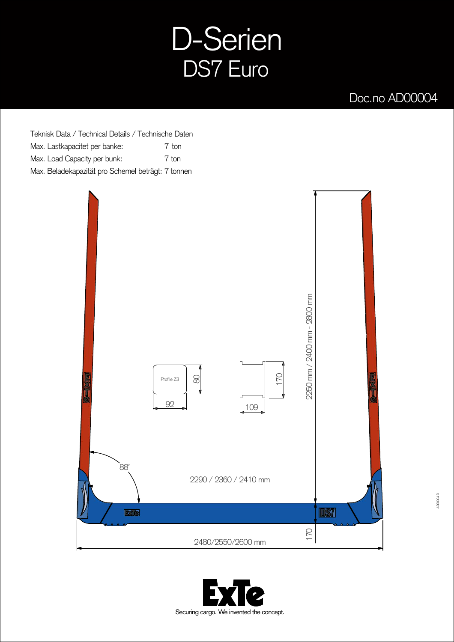## D-Serien DS7 Euro

## Doc.no AD00004

Teknisk Data / Technical Details / Technische Daten Max. Lastkapacitet per banke: Max. Load Capacity per bunk: Max. Beladekapazität pro Schemel beträgt: 7 tonnen 7 7 ton



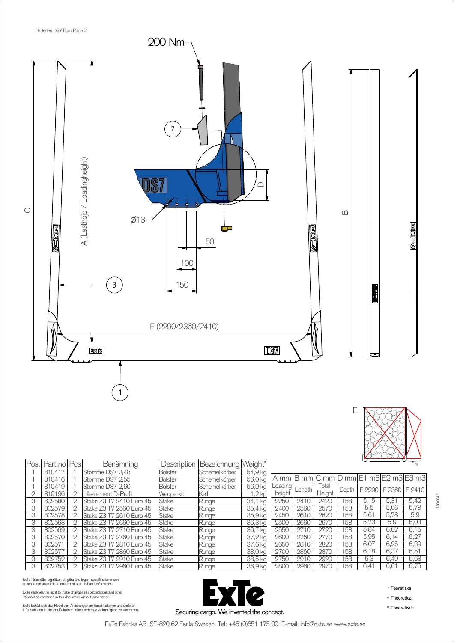



| Pos.           | Part.no   Pcs |                | Benämning                |                | Description   Bezeichnung | Weight*  |
|----------------|---------------|----------------|--------------------------|----------------|---------------------------|----------|
|                | 810417        |                | Stomme DS7 2,48          | <b>Bolster</b> | Schemelkörber             | 54,9 kg  |
|                | 810416        |                | Stomme DS7 2.55          | <b>Bolster</b> | Schemelkörper             | 56,0 kg  |
|                | 810419        |                | Stomme DS7 2.60          | <b>Bolster</b> | Schemelkörber             | 56,9 kg  |
| $\mathfrak{D}$ | 810196        | $\mathfrak{D}$ | Låselement D-Profil      | Wedae kit      | Keil                      | $1,2$ kg |
| 3              | 802580        | 2              | Stake Z3 T7 2410 Euro 45 | Stake          | Runge                     | 34,1 kg  |
| 3              | 802579        | $\mathfrak{D}$ | Stake Z3 T7 2560 Euro 45 | Stake          | Runge                     | 35,4 kg  |
| 3              | 802578        | $\mathfrak{D}$ | Stake Z3 T7 2610 Euro 45 | Stake          | Runge                     | 35,9 kg  |
| 3              | 802568        | 2              | Stake Z3 T7 2660 Euro 45 | <b>Stake</b>   | Runge                     | 36,3 kg  |
| 3              | 802569        | 2              | Stake Z3 T7 2710 Euro 45 | Stake          | Runge                     | 36,7 kg  |
| 3              | 802570        | 2              | Stake Z3 T7 2760 Euro 45 | Stake          | Runge                     | 37,2 kg  |
| 3              | 802571        | 2              | Stake Z3 T7 2810 Euro 45 | Stake          | Runge                     | 37,6 kg  |
| 3              | 802577        | 2              | Stake Z3 T7 2860 Euro 45 | Stake          | Runge                     | 38,0 kg  |
| 3              | 802752        | 2              | Stake Z3 T7 2910 Euro 45 | <b>Stake</b>   | Runge                     | 38,5 kg  |
| 3              | 802753        | 2              | Stake Z3 T7 2960 Euro 45 | <b>Stake</b>   | Runge                     | 38,9 kg  |

ExTe förbehåller sig rätten att göra ändringar i specifikationer och<br>annan information i detta dokument utan förhandsinformation.

ExTe reserves the right to make changes in specifications and other information contained in this document without prior notice.

ExTe behält sich das Recht vor, Änderungen an Spezifikationen und anderen<br>Informationen in diesem Dokument ohne vorherige Ankündigung vorzunehmen.



|                   |        |                 |       |        |        | A mm B mm C mm D mm E1 m3 E2 m3 E3 m3 |
|-------------------|--------|-----------------|-------|--------|--------|---------------------------------------|
| Loading<br>height | Length | Total<br>Height | Depth | F 2290 | F 2360 | F 2410                                |
| 2250              | 2410   | 2420            | 158   | 5,15   | 5,31   | 5,42                                  |
| 2400              | 2560   | 2570            | 158   | 5,5    | 5,66   | 5.78                                  |
| 2450              | 2610   | 2620            | 158   | 5,61   | 5,78   | 5,9                                   |
| 2500              | 2660   | 2670            | 158   | 5,73   | 5.9    | 6,03                                  |
| 2550              | 2710   | 2720            | 158   | 5,84   | 6,02   | 6,15                                  |
| 2600              | 2760   | 2770            | 158   | 5,95   | 6.14   | 6.27                                  |
| 2650              | 2810   | 2820            | 158   | 6,07   | 6,25   | 6,39                                  |
| 2700              | 2860   | 2870            | 158   | 6.18   | 6.37   | 6,51                                  |
| 2750              | 2910   | 2920            | 158   | 6,3    | 6,49   | 6,63                                  |
| 2800              | 2960   | 2970            | 158   | 6,41   | 6,61   | 6,75                                  |

\* Teoretiska

AD00004 D

\* Theoretical

\* Theoretisch

Securing cargo. We invented the concept.